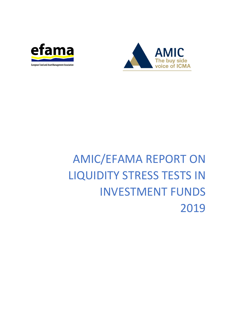



# AMIC/EFAMA REPORT ON LIQUIDITY STRESS TESTS IN INVESTMENT FUNDS 2019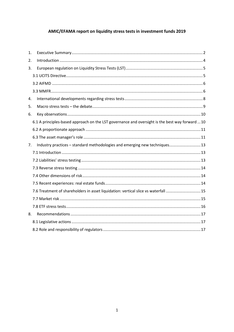# AMIC/EFAMA report on liquidity stress tests in investment funds 2019

| 1. |                                                                                                 |  |
|----|-------------------------------------------------------------------------------------------------|--|
| 2. |                                                                                                 |  |
| 3. |                                                                                                 |  |
|    |                                                                                                 |  |
|    |                                                                                                 |  |
|    |                                                                                                 |  |
| 4. |                                                                                                 |  |
| 5. |                                                                                                 |  |
| 6. |                                                                                                 |  |
|    | 6.1 A principles-based approach on the LST governance and oversight is the best way forward  10 |  |
|    |                                                                                                 |  |
|    |                                                                                                 |  |
| 7. | Industry practices - standard methodologies and emerging new techniques 13                      |  |
|    |                                                                                                 |  |
|    |                                                                                                 |  |
|    |                                                                                                 |  |
|    |                                                                                                 |  |
|    |                                                                                                 |  |
|    | 7.6 Treatment of shareholders in asset liquidation: vertical slice vs waterfall 15              |  |
|    |                                                                                                 |  |
|    |                                                                                                 |  |
| 8. |                                                                                                 |  |
|    |                                                                                                 |  |
|    |                                                                                                 |  |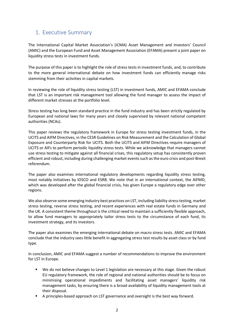# <span id="page-2-0"></span>1. Executive Summary

The International Capital Market Association's (ICMA) Asset Management and Investors' Council (AMIC) and the European Fund and Asset Management Association (EFAMA) present a joint paper on liquidity stress tests in investment funds.

The purpose of this paper is to highlight the role of stress tests in investment funds, and, to contribute to the more general international debate on how investment funds can efficiently manage risks stemming from their activities in capital markets.

In reviewing the role of liquidity stress testing (LST) in investment funds, AMIC and EFAMA conclude that LST is an important risk management tool allowing the fund manager to assess the impact of different market stresses at the portfolio level.

Stress testing has long been standard practice in the fund industry and has been strictly regulated by European and national laws for many years and closely supervised by relevant national competent authorities (NCAs).

This paper reviews the regulatory framework in Europe for stress testing investment funds, in the UCITS and AIFM Directives, in the CESR Guidelines on Risk Measurement and the Calculation of Global Exposure and Counterparty Risk for UCITS. Both the UCITS and AIFM Directives require managers of UCITS or AIFs to perform periodic liquidity stress tests. While we acknowledge that managers cannot use stress testing to mitigate against all financial crises, this regulatory setup has consistently proven efficient and robust, including during challenging market events such as the euro crisis and post-Brexit referendum.

The paper also examines international regulatory developments regarding liquidity stress testing, most notably initiatives by IOSCO and ESRB. We note that in an international context, the AIFMD, which was developed after the global financial crisis, has given Europe a regulatory edge over other regions.

We also observe some emerging industry best practices on LST, including liability stress testing, market stress testing, reverse stress testing, and recent experiences with real estate funds in Germany and the UK. A consistent theme throughout is the critical need to maintain a sufficiently flexible approach, to allow fund managers to appropriately tailor stress tests to the circumstance of each fund, its investment strategy, and its investors.

The paper also examines the emerging international debate on macro stress tests. AMIC and EFAMA conclude that the industry sees little benefit in aggregating stress test results by asset class or by fund type.

In conclusion, AMIC and EFAMA suggest a number of recommendations to improve the environment for LST in Europe.

- We do not believe changes to Level 1 legislation are necessary at this stage. Given the robust EU regulatory framework, the role of regional and national authorities should be to focus on minimising operational impediments and facilitating asset managers' liquidity risk management tasks, by ensuring there is a broad availability of liquidity management tools at their disposal.
- A principles-based approach on LST governance and oversight is the best way forward.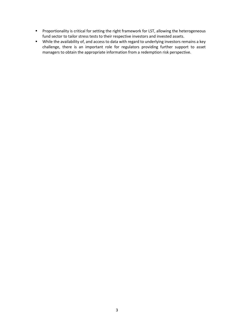- **Proportionality is critical for setting the right framework for LST, allowing the heterogeneous** fund sector to tailor stress tests to their respective investors and invested assets.
- While the availability of, and access to data with regard to underlying investors remains a key challenge, there is an important role for regulators providing further support to asset managers to obtain the appropriate information from a redemption risk perspective.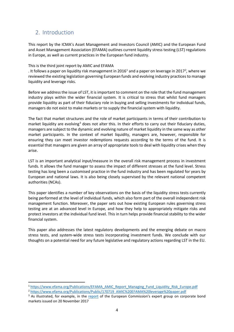# <span id="page-4-0"></span>2. Introduction

This report by the ICMA's Asset Management and Investors Council (AMIC) and the European Fund and Asset Management Association (EFAMA) outlines current liquidity stress testing (LST) regulations in Europe, as well as current practices in the European fund industry.

#### This is the third joint report by AMIC and EFAMA

. It follows a paper on liquidity risk management in 20[1](#page-4-1)6<sup>1</sup> and a paper on leverage in [2](#page-4-2)017<sup>2</sup>, where we reviewed the existing legislation governing European funds and evolving industry practices to manage liquidity and leverage risks.

Before we address the issue of LST, it is important to comment on the role that the fund management industry plays within the wider financial system. It is critical to stress that whilst fund managers provide liquidity as part of their fiduciary role in buying and selling investments for individual funds, managers do not exist to make markets or to supply the financial system with liquidity.

The fact that market structures and the role of market participants in terms of their contribution to market liquidity are evolving<sup>[3](#page-4-3)</sup> does not alter this. In their efforts to carry out their fiduciary duties, managers are subject to the dynamic and evolving nature of market liquidity in the same way as other market participants. In the context of market liquidity, managers are, however, responsible for ensuring they can meet investor redemptions requests according to the terms of the fund. It is essential that managers are given an array of appropriate tools to deal with liquidity crises when they arise.

LST is an important analytical input/measure in the overall risk management process in investment funds. It allows the fund manager to assess the impact of different stresses at the fund level. Stress testing has long been a customised practice in the fund industry and has been regulated for years by European and national laws. It is also being closely supervised by the relevant national competent authorities (NCAs).

This paper identifies a number of key observations on the basis of the liquidity stress tests currently being performed at the level of individual funds, which also form part of the overall independent risk management function. Moreover, the paper sets out how existing European rules governing stress testing are at an advanced level in Europe, and how they help to appropriately mitigate risks and protect investors at the individual fund level. This in turn helps provide financial stability to the wider financial system.

This paper also addresses the latest regulatory developments and the emerging debate on macro stress tests, and system-wide stress tests incorporating investment funds. We conclude with our thoughts on a potential need for any future legislative and regulatory actions regarding LST in the EU.

<span id="page-4-1"></span><sup>&</sup>lt;sup>1</sup> [https://www.efama.org/Publications/EFAMA\\_AMIC\\_Report\\_Managing\\_Fund\\_Liquidity\\_Risk\\_Europe.pdf](https://www.efama.org/Publications/EFAMA_AMIC_Report_Managing_Fund_Liquidity_Risk_Europe.pdf)

<span id="page-4-2"></span><sup>2</sup> [https://www.efama.org/Publications/Public/170719\\_AMIC%20EFAMA%20leverage%20paper.pdf](https://www.efama.org/Publications/Public/170719_AMIC%20EFAMA%20leverage%20paper.pdf)

<span id="page-4-3"></span><sup>&</sup>lt;sup>3</sup> As illustrated, for example, in the [report](https://ec.europa.eu/info/publications/171120-corporate-bonds-report_en) of the European Commission's expert group on corporate bond markets issued on 20 November 2017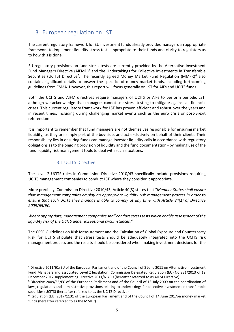# <span id="page-5-0"></span>3. European regulation on LST

The current regulatory framework for EU investment funds already provides managers an appropriate framework to implement liquidity stress tests appropriate to their funds and clarity to regulators as to how this is done.

EU regulatory provisions on fund stress tests are currently provided by the Alternative Investment Fund Managers Directive (AIFMD)<sup>[4](#page-5-2)</sup> and the Undertakings for Collective Investments in Transferable Securities (UCITS) Directive<sup>[5](#page-5-3)</sup>. The recently agreed Money Market Fund Regulation (MMFR)<sup>[6](#page-5-4)</sup> also contains significant details to answer the specifics of money market funds, including forthcoming guidelines from ESMA. However, this report will focus generally on LST for AIFs and UCITS funds.

Both the UCITS and AIFM directives require managers of UCITS or AIFs to perform periodic LST, although we acknowledge that managers cannot use stress testing to mitigate against all financial crises. This current regulatory framework for LST has proven efficient and robust over the years and in recent times, including during challenging market events such as the euro crisis or post-Brexit referendum.

It is important to remember that fund managers are not themselves responsible for ensuring market liquidity, as they are simply part of the buy-side, and act exclusively on behalf of their clients. Their responsibility lies in ensuring funds can manage investor liquidity calls in accordance with regulatory obligations as to the ongoing provision of liquidity and the fund documentation - by making use of the fund liquidity risk management tools to deal with such situations.

## 3.1 UCITS Directive

<span id="page-5-1"></span>The Level 2 UCITS rules in Commission Directive 2010/43 specifically include provisions requiring UCITS management companies to conduct LST where they consider it appropriate.

More precisely, Commission Directive 2010/43, Article 40(3) states that "*Member States shall ensure that management companies employ an appropriate liquidity risk management process in order to ensure that each UCITS they manage is able to comply at any time with Article 84(1) of Directive 2009/65/EC.*

*Where appropriate, management companies shall conduct stress tests which enable assessment of the liquidity risk of the UCITS under exceptional circumstances."*

The CESR Guidelines on Risk Measurement and the Calculation of Global Exposure and Counterparty Risk for UCITS stipulate that stress tests should be adequately integrated into the UCITS risk management process and the results should be considered when making investment decisions for the

<span id="page-5-2"></span> <sup>4</sup> Directive 2011/61/EU of the European Parliament and of the Council of 8 June 2011 on Alternative Investment Fund Managers and associated Level 2 legislation: Commission Delegated Regulation (EU) No 231/2013 of 19 December 2012 supplementing Directive 2011/61/EU (hereafter referred to as AIFM Directive)

<span id="page-5-3"></span><sup>5</sup> Directive 2009/65/EC of the European Parliament and of the Council of 13 July 2009 on the coordination of laws, regulations and administrative provisions relating to undertakings for collective investment in transferable securities (UCITS) (hereafter referred to as the UCITS Directive)

<span id="page-5-4"></span><sup>6</sup> Regulation (EU) 2017/1131 of the European Parliament and of the Council of 14 June 2017on money market funds (hereafter referred to as the MMFR)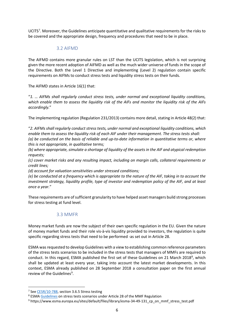UCITS<sup>[7](#page-6-2)</sup>. Moreover, the Guidelines anticipate quantitative and qualitative requirements for the risks to be covered and the appropriate design, frequency and procedures that need to be in place.

#### 3.2 AIFMD

<span id="page-6-0"></span>The AIFMD contains more granular rules on LST than the UCITS legislation, which is not surprising given the more recent adoption of AIFMD as well as the much wider universe of funds in the scope of the Directive. Both the Level 1 Directive and implementing (Level 2) regulation contain specific requirements on AIFMs to conduct stress tests and liquidity stress tests on their funds.

The AIFMD states in Article 16(1) that:

"*1. … AIFMs shall regularly conduct stress tests, under normal and exceptional liquidity conditions, which enable them to assess the liquidity risk of the AIFs and monitor the liquidity risk of the AIFs accordingly.*"

The implementing regulation (Regulation 231/2013) contains more detail, stating in Article 48(2) that:

"*2. AIFMs shall regularly conduct stress tests, under normal and exceptional liquidity conditions, which enable them to assess the liquidity risk of each AIF under their management. The stress tests shall: (a) be conducted on the basis of reliable and up-to-date information in quantitative terms or, where this is not appropriate, in qualitative terms;*

*(b) where appropriate, simulate a shortage of liquidity of the assets in the AIF and atypical redemption requests;*

*(c) cover market risks and any resulting impact, including on margin calls, collateral requirements or credit lines;*

*(d) account for valuation sensitivities under stressed conditions;*

*(e) be conducted at a frequency which is appropriate to the nature of the AIF, taking in to account the investment strategy, liquidity profile, type of investor and redemption policy of the AIF, and at least once a year.*"

These requirements are of sufficient granularity to have helped asset managers build strong processes for stress testing at fund level.

#### 3.3 MMFR

<span id="page-6-1"></span>Money market funds are now the subject of their own specific regulation in the EU. Given the nature of money market funds and their role vis-à-vis liquidity provided to investors, the regulation is quite specific regarding stress tests that need to be performed -as set out in Article 28.

ESMA was requested to develop Guidelines with a view to establishing common reference parameters of the stress tests scenarios to be included in the stress tests that managers of MMFs are required to conduct. In this regard, ESMA published the first set of these Guidelines on 21 March 201[8](#page-6-3)<sup>8</sup>, which shall be updated at least every year, taking into account the latest market developments. In this context, ESMA already published on 28 September 2018 a consultation paper on the first annual review of the Guidelines<sup>[9](#page-6-4)</sup>.

<span id="page-6-2"></span><sup>&</sup>lt;sup>7</sup> See [CESR/10-788,](https://www.fsc.gi/uploads/legacy/download/ucits/CESR-10-788.pdf) section 3.6.5 Stress testing

<span id="page-6-3"></span><sup>8</sup> ESM[A Guidelines](https://www.esma.europa.eu/sites/default/files/library/esma34-49-115_mmf_guidelines_on_stress_tests.pdf) on stress tests scenarios under Article 28 of the MMF Regulation

<span id="page-6-4"></span><sup>9</sup> https://www.esma.europa.eu/sites/default/files/library/esma-34-49-131\_cp\_on\_mmf\_stress\_test.pdf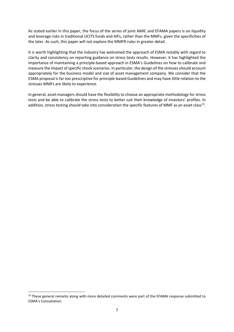As stated earlier in this paper, the focus of the series of joint AMIC and EFAMA papers is on liquidity and leverage risks in traditional UCITS funds and AIFs, rather than the MMFs, given the specificities of the later. As such, this paper will not explore the MMFR rules in greater detail.

It is worth highlighting that the industry has welcomed the approach of ESMA notably with regard to clarity and consistency on reporting guidance on stress tests results. However, it has highlighted the importance of maintaining a principle-based approach in ESMA's Guidelines on how to calibrate and measure the impact of specific shock scenarios. In particular, the design of the stresses should account appropriately for the business model and size of asset management company. We consider that the ESMA proposal is far too prescriptive for principle-based Guidelines and may have little relation to the stresses MMFs are likely to experience.

In general, asset managers should have the flexibility to choose an appropriate methodology for stress tests and be able to calibrate the stress tests to better suit their knowledge of investors' profiles. In addition, stress testing should take into consideration the specific features of MMF as an asset class<sup>10</sup>.

<span id="page-7-0"></span><sup>&</sup>lt;sup>10</sup> These general remarks along with more detailed comments were part of the EFAMA response submitted to ESMA's Consultation.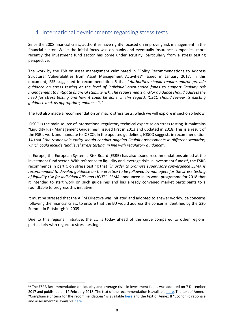# <span id="page-8-0"></span>4. International developments regarding stress tests

Since the 2008 financial crisis, authorities have rightly focused on improving risk management in the financial sector. While the initial focus was on banks and eventually insurance companies, more recently the investment fund sector has come under scrutiny, particularly from a stress testing perspective.

The work by the FSB on asset management culminated in "Policy Recommendations to Address Structural Vulnerabilities from Asset Management Activities" issued in January 2017. In this document, FSB suggested in recommendation 6 that "*Authorities should require and/or provide guidance on stress testing at the level of individual open-ended funds to support liquidity risk management to mitigate financial stability risk. The requirements and/or guidance should address the need for stress testing and how it could be done. In this regard, IOSCO should review its existing guidance and, as appropriate, enhance it."*

The FSB also made a recommendation on macro stress tests, which we will explore in section 5 below.

IOSCO is the main source of international regulatory technical expertise on stress testing. It maintains "Liquidity Risk Management Guidelines", issued first in 2013 and updated in 2018. This is a result of the FSB's work and mandate to IOSCO. In the updated guidelines, IOSCO suggests in recommendation 14 that "*the responsible entity should conduct ongoing liquidity assessments in different scenarios, which could include fund level stress testing, in line with regulatory guidance".*

In Europe, the European Systemic Risk Board (ESRB) has also issued recommendations aimed at the investment fund sector. With reference to liquidity and leverage risks in investment funds $^{11}$ , the ESRB recommends in part C on stress testing that *"in order to promote supervisory convergence ESMA is recommended to develop guidance on the practice to be followed by managers for the stress testing of liquidity risk for individual AIFs and UCITS".* ESMA announced in its work programme for 2018 that it intended to start work on such guidelines and has already convened market participants to a roundtable to progress this initiative.

It must be stressed that the AIFM Directive was initiated and adopted to answer worldwide concerns following the financial crisis, to ensure that the EU would address the concerns identified by the G20 Summit in Pittsburgh in 2009.

Due to this regional initiative, the EU is today ahead of the curve compared to other regions, particularly with regard to stress testing.

<span id="page-8-1"></span><sup>&</sup>lt;sup>11</sup> The ESRB Recommendation on liquidity and leverage risks in investment funds was adopted on 7 December 2017 and published on 14 February 2018. The text of the recommendation is availabl[e here.](https://www.esrb.europa.eu/pub/pdf/recommendations/esrb.recommendation180214_ESRB_2017_6.en.pdf?723f0fa99b1e8886e651e4950d2a55af) The text of Annex I "Compliance criteria for the recommendations" is available [here](https://www.esrb.europa.eu/pub/pdf/recommendations/esrb.recommendation180214_ESRB_2017_6_annex_I.en.pdf?4422926c573ffc7debe7f12988e546a3) and the text of Annex II "Economic rationale and assessment" is availabl[e here.](https://www.esrb.europa.eu/pub/pdf/recommendations/esrb.recommendation180214_ESRB_2017_6_annex_II.en.pdf?4422926c573ffc7debe7f12988e546a3)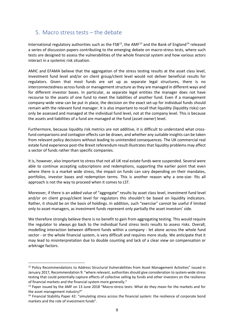# <span id="page-9-0"></span>5. Macro stress tests – the debate

International regulatory authorities such as the  $FSB^{12}$ , the AMF<sup>[13](#page-9-2)</sup> and the Bank of England<sup>[14](#page-9-3)</sup> released a series of discussion papers contributing to the emerging debate on macro-stress tests, where such tests are designed to assess the vulnerabilities of the whole financial system and how various actors interact in a systemic risk situation.

AMIC and EFAMA believe that the aggregation of the stress testing results at the asset class level, investment fund level and/or on client group/client level would not deliver beneficial results for regulators. Given that most funds are set up as separate legal structures, there is no interconnectedness across funds or management structure as they are managed in different ways and for different investor bases. In particular, as separate legal entities the manager does not have recourse to the assets of one fund to meet the liabilities of another fund. Even if a management company-wide view can be put in place, the decision on the exact set-up for individual funds should remain with the relevant fund manager. It is also important to recall that liquidity (liquidity risks) can only be assessed and managed at the individual fund level, not at the company level. This is because the assets and liabilities of a fund are managed at the fund (asset owner) level.

Furthermore, because liquidity risk metrics are not additive, it is difficult to understand what crossfund comparisons and contagion effects can be drawn, and whether any suitable insights can be taken from relevant policy decisions without leading to unintended consequences. The UK commercial real estate fund experience post-the Brexit referendum result illustrates that liquidity problems may affect a sector of funds rather than specific companies.

It is, however, also important to stress that not all UK real estate funds were suspended. Several were able to continue accepting subscriptions and redemptions, supporting the earlier point that even where there is a market wide stress, the impact on funds can vary depending on their mandates, portfolios, investor bases and redemption terms. This is another reason why a one-size- fits all approach is not the way to proceed when it comes to LST.

Moreover, if there is an added value of "aggregate" results by asset class level, investment fund level and/or on client group/client level for regulators this shouldn't be based on liquidity indicators. Rather, it should be on the basis of holdings. In addition, such "exercise" cannot be useful if limited only to asset managers, as investment funds represent only partially the asset investors' side.

We therefore strongly believe there is no benefit to gain from aggregating testing. This would require the regulator to always go back to the individual fund stress tests results to assess risks. Overall, modelling interaction between different funds within a company - let alone across the whole fund sector - or the whole financial system, is very difficult and requires more study. We anticipate that it may lead to misinterpretation due to double counting and lack of a clear view on compensation or arbitrage factors.

<span id="page-9-1"></span><sup>&</sup>lt;sup>12</sup> Policy Recommendations to Address Structural Vulnerabilities from Asset Management Activities" issued in January 2017, Recommendation 9: "where relevant, authorities should give consideration to system-wide stress testing that could potentially capture effects of collective selling by funds and other investors on the resilience of financial markets and the financial system more generally."

<span id="page-9-2"></span><sup>&</sup>lt;sup>13</sup> Paper issued by the AMF on 13 June 2018 "Macro-stress tests: What do they mean for the markets and for the asset management industry?"

<span id="page-9-3"></span> $14$  Financial Stability Paper 42: "simulating stress across the financial system: the resilience of corporate bond markets and the role of investment funds".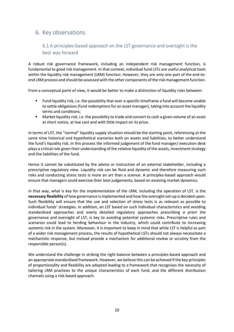# <span id="page-10-1"></span><span id="page-10-0"></span>6. Key observations

## 6.1 A principles-based approach on the LST governance and oversight is the best way forward

A robust risk governance framework, including an independent risk management function, is fundamental to good risk management. In that context, individual fund LSTs are useful analytical tools within the liquidity risk management (LRM) function. However, they are only one part of the end-toend LRM process and should be assessed with the other components of the risk management function.

From a conceptual point of view, it would be better to make a distinction of liquidity risks between:

- Fund liquidity risk, i.e. the possibility that over a specific timeframe a fund will become unable to settle obligations (fund redemptions for an asset manager), taking into account the liquidity terms and conditions;
- Market liquidity risk, i.e. the possibility to trade and convert to cash a given volume of an asset at short notice, at low cost and with little impact on its price.

In terms of LST, the "normal" liquidity supply situation should be the starting point, referencing at the same time historical and hypothetical scenarios both on assets and liabilities, to better understand the fund's liquidity risk. In this process the informed judgement of the fund manager/ execution desk plays a critical role given their understanding of the relative liquidity of the assets, investment strategy and the liabilities of the fund.

Hence it cannot be substituted by the advice or instruction of an external stakeholder, including a prescriptive regulatory view. Liquidity risk can be fluid and dynamic and therefore measuring such risks and conducting stress tests is more an art than a science. A principles-based approach would ensure that managers could exercise their best judgements, based on evolving market dynamics.

In that way, what is key for the implementation of the LRM, including the operation of LST, is the **necessary flexibility** of how governance is implemented and how the oversight set-up is decided upon. Such flexibility will ensure that the use and selection of stress tests is as relevant as possible to individual funds' strategies. In addition, an LST based on such individual characteristics and avoiding standardised approaches and overly detailed regulatory approaches prescribing *a priori* the governance and oversight of LST, is key to avoiding potential systemic risks. Prescriptive rules and scenarios could lead to herding behaviour in the industry, which could contribute to increasing systemic risk in the system. Moreover, it is important to keep in mind that while LST is helpful as part of a wider risk management process, the results of hypothetical LSTs should not always necessitate a mechanistic response, but instead provide a mechanism for additional review or scrutiny from the responsible person(s).

We understand the challenge in striking the right balance between a principles-based approach and an appropriate standardised framework. However, we believe this can be achieved if the key principles of proportionality and flexibility are adopted leading to a framework that recognises the necessity of tailoring LRM practices to the unique characteristics of each fund, and the different distribution channels using a risk-based approach.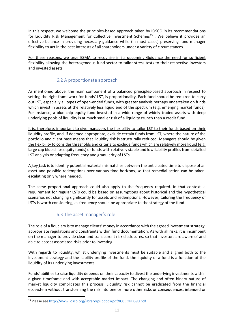In this respect, we welcome the principles-based approach taken by IOSCO in its recommendations for Liquidity Risk Management for Collective Investment Schemes<sup>[15](#page-11-2)</sup> . We believe it provides an effective balance in providing necessary guidance while (in most cases) preserving fund manager flexibility to act in the best interests of all shareholders under a variety of circumstances.

For these reasons, we urge ESMA to recognise in its upcoming Guidance the need for sufficient flexibility allowing the heterogeneous fund sector to tailor stress tests to their respective investors and invested assets.

## 6.2 A proportionate approach

<span id="page-11-0"></span>As mentioned above, the main component of a balanced principles-based approach in respect to setting the right framework for funds' LST, is proportionality. Each fund should be required to carry out LST, especially all types of open-ended funds, with greater analysis perhaps undertaken on funds which invest in assets at the relatively less liquid end of the spectrum (e.g. emerging market funds). For instance, a blue-chip equity fund invested in a wide range of widely traded assets with deep underlying pools of liquidity is at much smaller risk of a liquidity crunch than a credit fund.

It is, therefore, important to give managers the flexibility to tailor LST to their funds based on their liquidity profile, and, if deemed appropriate, exclude certain funds from LST, where the nature of the portfolio and client base means that liquidity risk is structurally reduced. Managers should be given the flexibility to consider thresholds and criteria to exclude funds which are relatively more liquid (e.g. large cap blue chips equity funds) or funds with relatively stable and low liability profiles from detailed LST analysis or adapting frequency and granularity of LSTs.

A key task is to identify potential material mismatches between the anticipated time to dispose of an asset and possible redemptions over various time horizons, so that remedial action can be taken, escalating only where needed.

The same proportional approach could also apply to the frequency required. In that context, a requirement for regular LSTs could be based on assumptions about historical and the hypothetical scenarios not changing significantly for assets and redemptions. However, tailoring the frequency of LSTs is worth considering, as frequency should be appropriate to the strategy of the fund.

## 6.3 The asset manager's role

<span id="page-11-1"></span>The role of a fiduciary is to manage clients' money in accordance with the agreed investment strategy, appropriate regulations and constraints within fund documentation. As with all risks, it is incumbent on the manager to provide clear and transparent risk disclosures, so that investors are aware of and able to accept associated risks prior to investing.

With regards to liquidity, whilst underlying investments must be suitable and aligned both to the investment strategy and the liability profile of the fund, the liquidity of a fund is a function of the liquidity of its underlying investments.

Funds' abilities to raise liquidity depends on their capacity to divest the underlying investments within a given timeframe and with acceptable market impact. The changing and often binary nature of market liquidity complicates this process. Liquidity risk cannot be eradicated from the financial ecosystem without transforming the risk into one or more other risks or consequences, intended or

<span id="page-11-2"></span> <sup>15</sup> Please see<http://www.iosco.org/library/pubdocs/pdf/IOSCOPD590.pdf>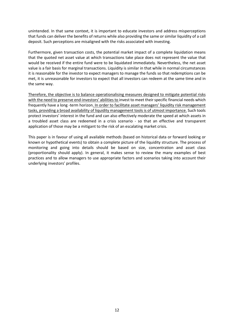unintended. In that same context, it is important to educate investors and address misperceptions that funds can deliver the benefits of returns while also providing the same or similar liquidity of a call deposit. Such perceptions are misaligned with the risks associated with investing.

Furthermore, given transaction costs, the potential market impact of a complete liquidation means that the quoted net asset value at which transactions take place does not represent the value that would be received if the entire fund were to be liquidated immediately. Nevertheless, the net asset value is a fair basis for marginal transactions. Liquidity is similar in that while in normal circumstances it is reasonable for the investor to expect managers to manage the funds so that redemptions can be met, it is unreasonable for investors to expect that all investors can redeem at the same time and in the same way.

Therefore, the objective is to balance operationalising measures designed to mitigate potential risks with the need to preserve end-investors' abilities to invest to meet their specific financial needs which frequently have a long-term horizon. In order to facilitate asset managers' liquidity risk management tasks, providing a broad availability of liquidity management tools is of utmost importance. Such tools protect investors' interest in the fund and can also effectively moderate the speed at which assets in a troubled asset class are redeemed in a crisis scenario - so that an effective and transparent application of those may be a mitigant to the risk of an escalating market crisis.

This paper is in favour of using all available methods (based on historical data or forward looking or known or hypothetical events) to obtain a complete picture of the liquidity structure. The process of monitoring and going into details should be based on size, concentration and asset class (proportionality should apply). In general, it makes sense to review the many examples of best practices and to allow managers to use appropriate factors and scenarios taking into account their underlying investors' profiles.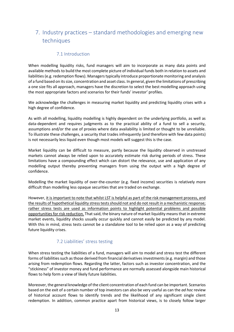# <span id="page-13-0"></span>7. Industry practices – standard methodologies and emerging new techniques

#### 7.1 Introduction

<span id="page-13-1"></span>When modelling liquidity risks, fund managers will aim to incorporate as many data points and available methods to build the most complete picture of individual funds both in relation to assets and liabilities (e.g. redemption flows). Managerstypically introduce proportionate monitoring and analysis of a fund based on its size, concentration and asset class. In general, given the limitations of prescribing a one size fits all approach, managers have the discretion to select the best modelling approach using the most appropriate factors and scenarios for their funds' investor' profiles.

We acknowledge the challenges in measuring market liquidity and predicting liquidity crises with a high degree of confidence.

As with all modelling, liquidity modelling is highly dependent on the underlying portfolio, as well as data-dependent and requires judgments as to the practical ability of a fund to sell a security, assumptions and/or the use of proxies where data availability is limited or thought to be unreliable. To illustrate these challenges, a security that trades infrequently (and therefore with few data points) is not necessarily less liquid even though most models will suggest this is the case.

Market liquidity can be difficult to measure, partly because the liquidity observed in unstressed markets cannot always be relied upon to accurately estimate risk during periods of stress. These limitations have a compounding effect which can distort the relevance, use and application of any modelling output thereby preventing managers from using the output with a high degree of confidence.

Modelling the market liquidity of over-the-counter (e.g. fixed income) securities is relatively more difficult than modelling less opaque securities that are traded on exchange.

However, it is important to note that whilst LST is helpful as part of the risk management process, and the results of hypothetical liquidity stress tests should not and do not result in a mechanistic response; rather stress tests are used as information points to highlight potential problems and possible opportunities for risk reduction. That said, the binary nature of market liquidity means that in extreme market events, liquidity shocks usually occur quickly and cannot easily be predicted by any model. With this in mind, stress tests cannot be a standalone tool to be relied upon as a way of predicting future liquidity crises.

## 7.2 Liabilities' stress testing

<span id="page-13-2"></span>When stress testing the liabilities of a fund, managers will aim to model and stress test the different forms of liabilities such as those derived from financial derivatives investments (e.g. margin) and those arising from redemption flows. Regarding the latter, factors such as investor concentration, and the "stickiness" of investor money and fund performance are normally assessed alongside main historical flows to help form a view of likely future liabilities.

Moreover, the general knowledge of the client concentration of each fund can be important. Scenarios based on the exit of a certain number of top investors can also be very useful as can the *ad hoc* review of historical account flows to identify trends and the likelihood of any significant single client redemption. In addition, common practice apart from historical views, is to closely follow larger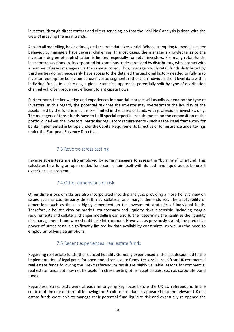investors, through direct contact and direct servicing, so that the liabilities' analysis is done with the view of grasping the main trends.

As with all modelling, having timely and accurate data is essential. When attempting to model investor behaviours, managers have several challenges. In most cases, the manager's knowledge as to the investor's degree of sophistication is limited, especially for retail investors. For many retail funds, investor transactions are incorporated into omnibus trades provided by distributors, who interact with a number of asset managers via the same account. Thus, managers with retail funds distributed by third parties do not necessarily have access to the detailed transactional history needed to fully map investor redemption behaviour across investor segments rather than individual client level data within individual funds. In such cases, a global statistical approach, potentially split by type of distribution channel will often prove very efficient to anticipate flows.

Furthermore, the knowledge and experiences in financial markets will usually depend on the type of investors. In this regard, the potential risk that the investor may overestimate the liquidity of the assets held by the fund is much more limited in the cases of funds with professional investors only. The managers of those funds have to fulfil special reporting requirements on the composition of the portfolio vis-à-vis the investors' particular regulatory requirements - such as the Basel framework for banks implemented in Europe under the Capital Requirements Directive or for insurance undertakings under the European Solvency Directive.

#### 7.3 Reverse stress testing

<span id="page-14-0"></span>Reverse stress tests are also employed by some managers to assess the "burn rate" of a fund. This calculates how long an open-ended fund can sustain itself with its cash and liquid assets before it experiences a problem.

#### 7.4 Other dimensions of risk

<span id="page-14-1"></span>Other dimensions of risks are also incorporated into this analysis, providing a more holistic view on issues such as counterparty default, risk collateral and margin demands etc. The applicability of dimensions such as these is highly dependent on the investment strategies of individual funds. Therefore, a holistic view on market, counterparty and liquidity risks is sensible. Including margin requirements and collateral changes modelling can also further determine the liabilities the liquidity risk management framework should take into account. However, as previously stated, the predictive power of stress tests is significantly limited by data availability constraints, as well as the need to employ simplifying assumptions.

#### 7.5 Recent experiences: real estate funds

<span id="page-14-2"></span>Regarding real estate funds, the reduced liquidity Germany experienced in the last decade led to the implementation of legal gates for open-ended real estate funds. Lessons learned from UK commercial real estate funds following the Brexit referendum result are highly valuable lessons for commercial real estate funds but may not be useful in stress testing other asset classes, such as corporate bond funds.

Regardless, stress tests were already an ongoing key focus before the UK EU referendum. In the context of the market turmoil following the Brexit referendum, it appeared that the relevant UK real estate funds were able to manage their potential fund liquidity risk and eventually re-opened the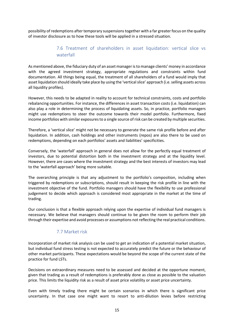<span id="page-15-0"></span>possibility of redemptions after temporary suspensionstogether with a far greater focus on the quality of investor disclosure as to how these tools will be applied in a stressed situation.

## 7.6 Treatment of shareholders in asset liquidation: vertical slice vs waterfall

As mentioned above, the fiduciary duty of an asset manager is to manage clients' money in accordance with the agreed investment strategy, appropriate regulations and constraints within fund documentation. All things being equal, the treatment of all shareholders of a fund would imply that asset liquidation should ideally take place by using the 'vertical slice' approach (i.e. selling assets across all liquidity profiles).

However, this needs to be adapted in reality to account for technical constraints, costs and portfolio rebalancing opportunities. For instance, the differences in asset transaction costs (i.e. liquidation) can also play a role in determining the process of liquidating assets. So, in practice, portfolio managers might use redemptions to steer the outcome towards their model portfolio. Furthermore, fixed income portfolios with similar exposures to a single source of risk can be created by multiple securities.

Therefore, a 'vertical slice' might not be necessary to generate the same risk profile before and after liquidation. In addition, cash holdings and other instruments (repos) are also there to be used on redemptions, depending on each portfolios' assets and liabilities' specificities.

Conversely, the 'waterfall' approach in general does not allow for the perfectly equal treatment of investors, due to potential distortion both in the investment strategy and at the liquidity level. However, there are cases where the investment strategy and the best interests of investors may lead to the 'waterfall approach' being more suitable.

The overarching principle is that any adjustment to the portfolio's composition, including when triggered by redemptions or subscriptions, should result in keeping the risk profile in line with the investment objective of the fund. Portfolio managers should have the flexibility to use professional judgement to decide which approach is considered most appropriate in the market at the time of trading.

Our conclusion is that a flexible approach relying upon the expertise of individual fund managers is necessary. We believe that managers should continue to be given the room to perform their job through their expertise and avoid processes or assumptions not reflecting the real practical conditions.

## 7.7 Market risk

<span id="page-15-1"></span>Incorporation of market risk analysis can be used to get an indication of a potential market situation, but individual fund stress testing is not expected to accurately predict the future or the behaviour of other market participants. These expectations would be beyond the scope of the current state of the practice for fund LSTs.

Decisions on extraordinary measures need to be assessed and decided at the opportune moment, given that trading as a result of redemptions is preferably done as close as possible to the valuation price. This limits the liquidity risk as a result of asset price volatility or asset price uncertainty.

Even with timely trading there might be certain scenarios in which there is significant price uncertainty. In that case one might want to resort to anti-dilution levies before restricting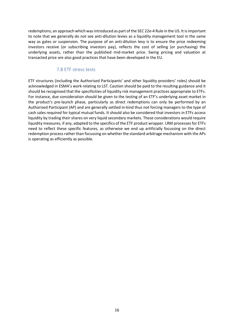redemptions; an approach which was introduced as part of the SEC 22e-4 Rule in the US. It is important to note that we generally do not see anti-dilution levies as a liquidity management tool in the same way as gates or suspension. The purpose of an anti-dilution levy is to ensure the price redeeming investors receive (or subscribing investors pay), reflects the cost of selling (or purchasing) the underlying assets, rather than the published mid-market price. Swing pricing and valuation at transacted price are also good practices that have been developed in the EU.

#### 7.8 ETF stress tests

<span id="page-16-0"></span>ETF structures (including the Authorised Participants' and other liquidity providers' roles) should be acknowledged in ESMA's work relating to LST. Caution should be paid to the resulting guidance and it should be recognised that the specificities of liquidity risk management practices appropriate to ETFs. For instance, due consideration should be given to the testing of an ETF's underlying asset market in the product's pre-launch phase, particularly as direct redemptions can only be performed by an Authorised Participant (AP) and are generally settled in-kind thus not forcing managers to the type of cash sales required for typical mutual funds. It should also be considered that investors in ETFs access liquidity by trading their shares on very liquid secondary markets. These considerations would require liquidity measures, if any, adapted to the specifics of the ETF product wrapper. LRM processes for ETFs need to reflect these specific features, as otherwise we end up artificially focussing on the direct redemption process rather than focussing on whether the standard arbitrage mechanism with the APs is operating as efficiently as possible.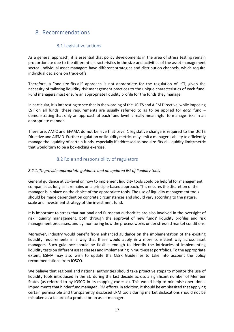# <span id="page-17-0"></span>8. Recommendations

## 8.1 Legislative actions

<span id="page-17-1"></span>As a general approach, it is essential that policy developments in the area of stress testing remain proportionate due to the different characteristics in the size and activities of the asset management sector. Individual asset managers have different strategies and distribution channels, which require individual decisions on trade-offs.

Therefore, a "one-size-fits-all" approach is not appropriate for the regulation of LST, given the necessity of tailoring liquidity risk management practices to the unique characteristics of each fund. Fund managers must ensure an appropriate liquidity profile for the funds they manage.

In particular, it is interesting to see that in the wording of the UCITS and AIFM Directive, while imposing LST on all funds, these requirements are usually referred to as to be applied for *each* fund – demonstrating that only an approach at each fund level is really meaningful to manage risks in an appropriate manner.

Therefore, AMIC and EFAMA do not believe that Level 1 legislative change is required to the UCITS Directive and AIFMD. Further regulation on liquidity metrics may limit a manager's ability to efficiently manage the liquidity of certain funds, especially if addressed as one-size-fits-all liquidity limit/metric that would turn to be a box-ticking exercise.

## 8.2 Role and responsibility of regulators

#### <span id="page-17-2"></span>*8.2.1. To provide appropriate guidance and an updated list of liquidity tools*

General guidance at EU-level on how to implement liquidity tools could be helpful for management companies as long as it remains on a principle-based approach. This ensures the discretion of the manager is in place on the choice of the appropriate tools. The use of liquidity management tools should be made dependent on concrete circumstances and should vary according to the nature, scale and investment strategy of the investment fund.

It is important to stress that national and European authorities are also involved in the oversight of risk liquidity management, both through the approval of new funds' liquidity profiles and risk management processes, and by monitoring how the process works under stressed market conditions.

Moreover, industry would benefit from enhanced guidance on the implementation of the existing liquidity requirements in a way that these would apply in a more consistent way across asset managers. Such guidance should be flexible enough to identify the intricacies of implementing liquidity tests on different asset classes and implementing in multi-asset portfolios. To the appropriate extent, ESMA may also wish to update the CESR Guidelines to take into account the policy recommendations from IOSCO.

We believe that regional and national authorities should take proactive steps to monitor the use of liquidity tools introduced in the EU during the last decade across a significant number of Member States (as referred to by IOSCO in its mapping exercise). This would help to minimise operational impediments that hinder fund manager LRM efforts. In addition, it should be emphasized that applying certain permissible and transparently disclosed LRM tools during market dislocations should not be mistaken as a failure of a product or an asset manager.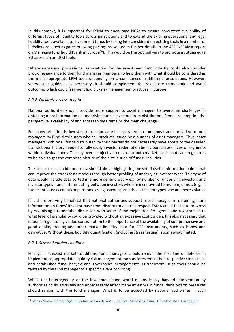In this context, it is important for ESMA to encourage NCAs to ensure consistent availability of different types of liquidity tools across jurisdictions and to extend the existing operational and legal liquidity tools available to investment funds by taking into consideration existing tools in a number of jurisdictions, such as gates or swing pricing (presented in further details in the AMIC/EFAMA report on Managing fund liquidity risk in Europe<sup>[16](#page-18-0)</sup>). This would be the optimal way to promote a cutting edge EU approach on LRM tools.

Where necessary, professional associations for the investment fund industry could also consider providing guidance to their fund manager members, to help them with what should be considered as the most appropriate LRM tools depending on circumstances in different jurisdictions. However, where such guidance is necessary, it should complement the regulatory framework and avoid outcomes which could fragment liquidity risk management practices in Europe.

#### *8.2.2. Facilitate access to data*

National authorities should provide more support to asset managers to overcome challenges in obtaining more information on underlying funds' investors from distributors. From a redemption risk perspective, availability of and access to data remains the main challenge.

For many retail funds, investor transactions are incorporated into omnibus trades provided to fund managers by fund distributors who sell products issued by a number of asset managers. Thus, asset managers with retail funds distributed by third parties do not necessarily have access to the detailed transactional history needed to fully study investor redemption behaviours across investor segments within individual funds. The key overall objective remains for both market participants and regulators to be able to get the complete picture of the distribution of funds' liabilities.

The access to such additional data should aim at highlighting the set of useful information points that can improve the stress tests models through better profiling of underlying investor types. This type of data would include data sorted in a more generic way  $-$  e.g. by number of underlying investors and investor types – and differentiating between investors who are incentivised to redeem, or not, (e.g. in tax incentivised accounts or pensions savings account) and those investortypes who are more volatile.

It is therefore very beneficial that national authorities support asset managers in obtaining more information on funds' investor base from distributors. In this respect ESMA could facilitate progress by organising a roundtable discussion with some of the major transfer agents' and registrars as to what level of granularity could be provided without an excessive cost burden. It is also necessary that national regulators give due consideration to the importance of the availability of comprehensive and good quality trading and other market liquidity data for OTC instruments, such as bonds and derivative. Without these, liquidity quantification (including stress testing) is somewhat limited.

#### *8.2.3. Stressed market conditions*

Finally, in stressed market conditions, fund managers should remain the first line of defence in implementing appropriate liquidity risk management tools as foreseen in their respective stress tests and established fund lifecycle and governance arrangements. Furthermore, such tools should be tailored by the fund manager to a specific event occurring.

While the heterogeneity of the investment fund world means heavy handed intervention by authorities could adversely and unnecessarily affect many investors in funds, decisions on measures should remain with the fund manager. What is to be expected by national authorities in such

<span id="page-18-0"></span><sup>&</sup>lt;sup>16</sup> [https://www.efama.org/Publications/EFAMA\\_AMIC\\_Report\\_Managing\\_Fund\\_Liquidity\\_Risk\\_Europe.pdf](https://www.efama.org/Publications/EFAMA_AMIC_Report_Managing_Fund_Liquidity_Risk_Europe.pdf)